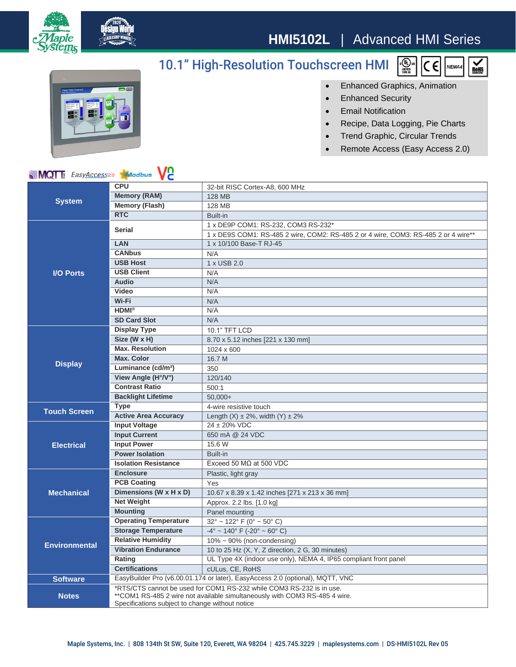

## **HMI5102L** | Advanced HMI Series

## 10.1" High-Resolution Touchscreen HMI





• Enhanced Graphics, Animation

- Enhanced Security
- Email Notification
- Recipe, Data Logging, Pie Charts
- Trend Graphic, Circular Trends
- Remote Access (Easy Access 2.0)

## **MQT** EasyAccess20 Moodbus VC

| <b>System</b>        | <b>CPU</b>                                                                                                                                                                                            | 32-bit RISC Cortex-A8, 600 MHz                                                     |
|----------------------|-------------------------------------------------------------------------------------------------------------------------------------------------------------------------------------------------------|------------------------------------------------------------------------------------|
|                      | <b>Memory (RAM)</b>                                                                                                                                                                                   | <b>128 MB</b>                                                                      |
|                      | <b>Memory (Flash)</b>                                                                                                                                                                                 | 128 MB                                                                             |
|                      | <b>RTC</b>                                                                                                                                                                                            | Built-in                                                                           |
| <b>I/O Ports</b>     | <b>Serial</b>                                                                                                                                                                                         | 1 x DE9P COM1: RS-232, COM3 RS-232*                                                |
|                      |                                                                                                                                                                                                       | 1 x DE9S COM1: RS-485 2 wire, COM2: RS-485 2 or 4 wire, COM3: RS-485 2 or 4 wire** |
|                      | LAN                                                                                                                                                                                                   | 1 x 10/100 Base-T RJ-45                                                            |
|                      | <b>CANbus</b>                                                                                                                                                                                         | N/A                                                                                |
|                      | <b>USB Host</b>                                                                                                                                                                                       | 1 x USB 2.0                                                                        |
|                      | <b>USB Client</b>                                                                                                                                                                                     | N/A                                                                                |
|                      | <b>Audio</b>                                                                                                                                                                                          | N/A                                                                                |
|                      | Video                                                                                                                                                                                                 | N/A                                                                                |
|                      | Wi-Fi                                                                                                                                                                                                 | N/A                                                                                |
|                      | $HDMI^{\otimes}$                                                                                                                                                                                      | N/A                                                                                |
|                      | <b>SD Card Slot</b>                                                                                                                                                                                   | N/A                                                                                |
| <b>Display</b>       | <b>Display Type</b>                                                                                                                                                                                   | 10.1" TFT LCD                                                                      |
|                      | Size (W x H)                                                                                                                                                                                          | 8.70 x 5.12 inches [221 x 130 mm]                                                  |
|                      | <b>Max. Resolution</b>                                                                                                                                                                                | 1024 x 600                                                                         |
|                      | <b>Max. Color</b>                                                                                                                                                                                     | 16.7 M                                                                             |
|                      | Luminance (cd/m <sup>2</sup> )                                                                                                                                                                        | 350                                                                                |
|                      | View Angle (H°/V°)                                                                                                                                                                                    | 120/140                                                                            |
|                      | <b>Contrast Ratio</b>                                                                                                                                                                                 | 500:1                                                                              |
|                      | <b>Backlight Lifetime</b>                                                                                                                                                                             | $50,000+$                                                                          |
| <b>Touch Screen</b>  | <b>Type</b>                                                                                                                                                                                           | 4-wire resistive touch                                                             |
|                      | <b>Active Area Accuracy</b>                                                                                                                                                                           | Length $(X) \pm 2\%$ , width $(Y) \pm 2\%$                                         |
| <b>Electrical</b>    | <b>Input Voltage</b>                                                                                                                                                                                  | $24 \pm 20\%$ VDC                                                                  |
|                      | <b>Input Current</b>                                                                                                                                                                                  | 650 mA @ 24 VDC                                                                    |
|                      | <b>Input Power</b>                                                                                                                                                                                    | 15.6 W                                                                             |
|                      | <b>Power Isolation</b>                                                                                                                                                                                | Built-in                                                                           |
|                      | <b>Isolation Resistance</b>                                                                                                                                                                           | Exceed 50 $MO$ at 500 VDC                                                          |
| <b>Mechanical</b>    | <b>Enclosure</b>                                                                                                                                                                                      | Plastic, light gray                                                                |
|                      | <b>PCB Coating</b>                                                                                                                                                                                    | Yes                                                                                |
|                      | Dimensions (W x H x D)                                                                                                                                                                                | 10.67 x 8.39 x 1.42 inches [271 x 213 x 36 mm]                                     |
|                      | <b>Net Weight</b>                                                                                                                                                                                     | Approx. 2.2 lbs. [1.0 kg]                                                          |
|                      | <b>Mounting</b>                                                                                                                                                                                       | Panel mounting                                                                     |
| <b>Environmental</b> | <b>Operating Temperature</b>                                                                                                                                                                          | $32^{\circ}$ ~ 122 $^{\circ}$ F (0 $^{\circ}$ ~ 50 $^{\circ}$ C)                   |
|                      | <b>Storage Temperature</b>                                                                                                                                                                            | $-4^{\circ}$ ~ 140° F (-20° ~ 60° C)                                               |
|                      | <b>Relative Humidity</b>                                                                                                                                                                              | $10\% \sim 90\%$ (non-condensing)                                                  |
|                      | <b>Vibration Endurance</b>                                                                                                                                                                            | 10 to 25 Hz (X, Y, Z direction, 2 G, 30 minutes)                                   |
|                      | Rating                                                                                                                                                                                                | UL Type 4X (indoor use only), NEMA 4, IP65 compliant front panel                   |
|                      | <b>Certifications</b>                                                                                                                                                                                 | cULus, CE, RoHS                                                                    |
| <b>Software</b>      | EasyBuilder Pro (v6.00.01.174 or later), EasyAccess 2.0 (optional), MQTT, VNC                                                                                                                         |                                                                                    |
| <b>Notes</b>         | *RTS/CTS cannot be used for COM1 RS-232 while COM3 RS-232 is in use.<br>**COM1 RS-485 2 wire not available simultaneously with COM3 RS-485 4 wire.<br>Specifications subject to change without notice |                                                                                    |